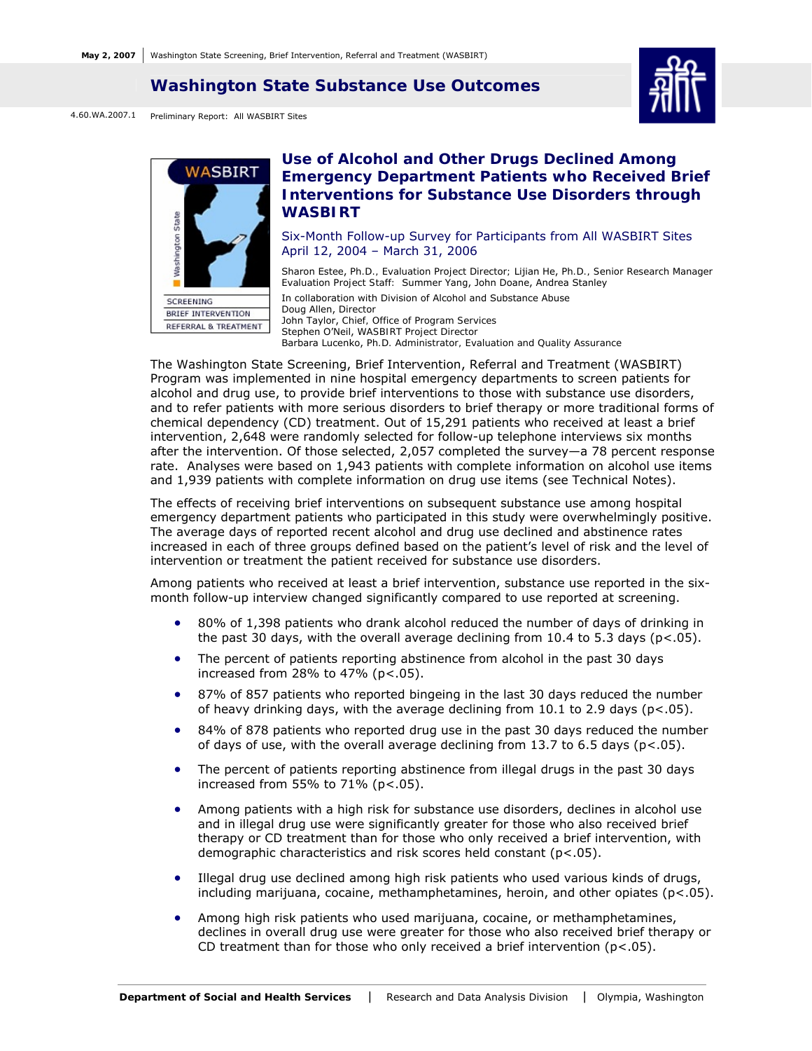#### **Washington State Substance Use Outcomes**



4.60.WA.2007.1 Preliminary Report: All WASBIRT Sites



# **Use of Alcohol and Other Drugs Declined Among Emergency Department Patients who Received Brief Interventions for Substance Use Disorders through WASBIRT**

#### Six-Month Follow-up Survey for Participants from All WASBIRT Sites April 12, 2004 – March 31, 2006

Sharon Estee, *Ph.D., Evaluation Project Director;* Lijian He, *Ph.D., Senior Research Manager Evaluation Project Staff:* Summer Yang, John Doane, Andrea Stanley In collaboration with Division of Alcohol and Substance Abuse Doug Allen, *Director*  John Taylor, *Chief, Office of Program Services* Stephen O'Neil, *WASBIRT Project Director*  Barbara Lucenko, *Ph.D. Administrator, Evaluation and Quality Assurance*

The Washington State Screening, Brief Intervention, Referral and Treatment (WASBIRT) Program was implemented in nine hospital emergency departments to screen patients for alcohol and drug use, to provide brief interventions to those with substance use disorders, and to refer patients with more serious disorders to brief therapy or more traditional forms of chemical dependency (CD) treatment. Out of 15,291 patients who received at least a brief intervention, 2,648 were randomly selected for follow-up telephone interviews six months after the intervention. Of those selected, 2,057 completed the survey—a 78 percent response rate. Analyses were based on 1,943 patients with complete information on alcohol use items and 1,939 patients with complete information on drug use items (see Technical Notes).

The effects of receiving brief interventions on subsequent substance use among hospital emergency department patients who participated in this study were overwhelmingly positive. The average days of reported recent alcohol and drug use declined and abstinence rates increased in each of three groups defined based on the patient's level of risk and the level of intervention or treatment the patient received for substance use disorders.

Among patients who received at least a brief intervention, substance use reported in the sixmonth follow-up interview changed significantly compared to use reported at screening.

- 80% of 1,398 patients who drank alcohol reduced the number of days of drinking in the past 30 days, with the overall average declining from 10.4 to 5.3 days ( $p < .05$ ).
- The percent of patients reporting abstinence from alcohol in the past 30 days increased from 28% to 47% ( $p < .05$ ).
- 87% of 857 patients who reported bingeing in the last 30 days reduced the number of heavy drinking days, with the average declining from  $10.1$  to  $2.9$  days ( $p < .05$ ).
- 84% of 878 patients who reported drug use in the past 30 days reduced the number of days of use, with the overall average declining from 13.7 to 6.5 days (p<.05).
- The percent of patients reporting abstinence from illegal drugs in the past 30 days increased from 55% to  $71\%$  ( $p < .05$ ).
- Among patients with a high risk for substance use disorders, declines in alcohol use and in illegal drug use were significantly greater for those who also received brief therapy or CD treatment than for those who only received a brief intervention, with demographic characteristics and risk scores held constant (p<.05).
- Illegal drug use declined among high risk patients who used various kinds of drugs, including marijuana, cocaine, methamphetamines, heroin, and other opiates  $(p<.05)$ .
- Among high risk patients who used marijuana, cocaine, or methamphetamines, declines in overall drug use were greater for those who also received brief therapy or CD treatment than for those who only received a brief intervention  $(p<.05)$ .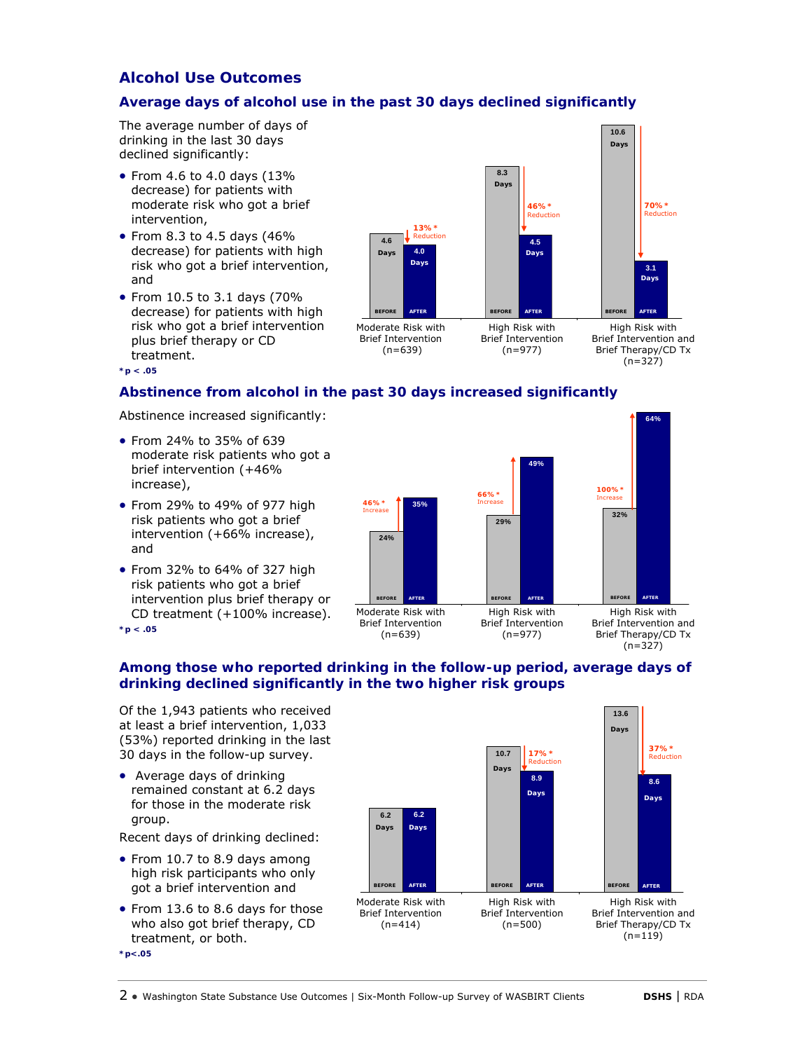# **Alcohol Use Outcomes**

# **Average days of alcohol use in the past 30 days declined significantly**

The average number of days of drinking in the last 30 days declined significantly:

- From 4.6 to 4.0 days (13% decrease) for patients with moderate risk who got a brief intervention,
- From 8.3 to 4.5 days (46% decrease) for patients with high risk who got a brief intervention, and
- From 10.5 to 3.1 days (70% decrease) for patients with high risk who got a brief intervention plus brief therapy or CD treatment.



Moderate Risk with Brief Intervention  $(n=639)$ 

High Risk with Brief Intervention (n=977)

High Risk with Brief Intervention and Brief Therapy/CD Tx  $(n=327)$ 

### **Abstinence from alcohol in the past 30 days increased significantly**

Abstinence increased significantly:

- From 24% to 35% of 639 moderate risk patients who got a brief intervention (+46% increase),
- From 29% to 49% of 977 high risk patients who got a brief intervention (+66% increase), and
- From 32% to 64% of 327 high risk patients who got a brief intervention plus brief therapy or CD treatment (+100% increase).



**\*p < .05**

**\*p < .05**

### **Among those who reported drinking in the follow-up period, average days of drinking declined significantly in the two higher risk groups**

Of the 1,943 patients who received at least a brief intervention, 1,033 (53%) reported drinking in the last 30 days in the follow-up survey.

• Average days of drinking remained constant at 6.2 days for those in the moderate risk group.

Recent days of drinking declined:

- From 10.7 to 8.9 days among high risk participants who only got a brief intervention and
- From 13.6 to 8.6 days for those who also got brief therapy, CD treatment, or both.

**\*p<.05**

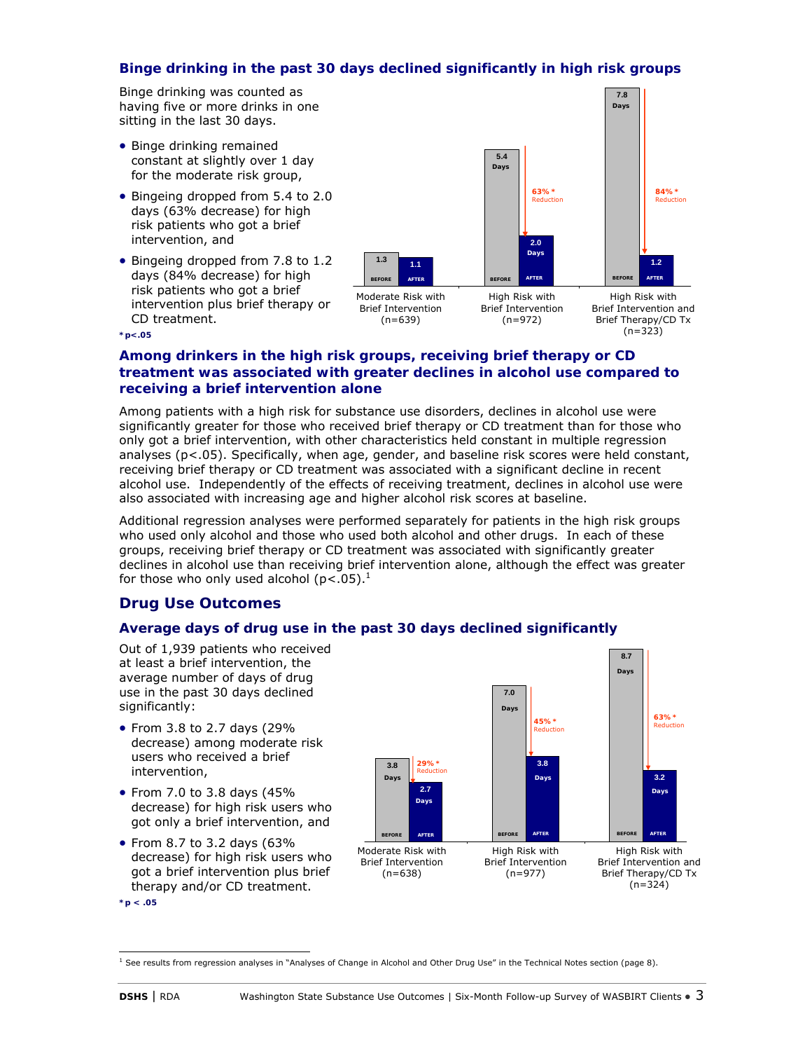## **Binge drinking in the past 30 days declined significantly in high risk groups**

Binge drinking was counted as having five or more drinks in one sitting in the last 30 days.

- Binge drinking remained constant at slightly over 1 day for the moderate risk group,
- Bingeing dropped from 5.4 to 2.0 days (63% decrease) for high risk patients who got a brief intervention, and
- Bingeing dropped from 7.8 to 1.2 days (84% decrease) for high risk patients who got a brief intervention plus brief therapy or CD treatment.



(n=323)

**8.7**

**Days**

**\*p<.05**

### **Among drinkers in the high risk groups, receiving brief therapy or CD treatment was associated with greater declines in alcohol use compared to receiving a brief intervention alone**

Among patients with a high risk for substance use disorders, declines in alcohol use were significantly greater for those who received brief therapy or CD treatment than for those who only got a brief intervention, with other characteristics held constant in multiple regression analyses (p<.05). Specifically, when age, gender, and baseline risk scores were held constant, receiving brief therapy or CD treatment was associated with a significant decline in recent alcohol use. Independently of the effects of receiving treatment, declines in alcohol use were also associated with increasing age and higher alcohol risk scores at baseline.

Additional regression analyses were performed separately for patients in the high risk groups who used only alcohol and those who used both alcohol and other drugs. In each of these groups, receiving brief therapy or CD treatment was associated with significantly greater declines in alcohol use than receiving brief intervention alone, although the effect was greater for those who only used alcohol ( $p$ <.05).<sup>1</sup>

# **Drug Use Outcomes**

# **Average days of drug use in the past 30 days declined significantly**

Out of 1,939 patients who received at least a brief intervention, the average number of days of drug use in the past 30 days declined significantly:

- From 3.8 to 2.7 days (29% decrease) among moderate risk users who received a brief intervention,
- From 7.0 to 3.8 days (45% decrease) for high risk users who got only a brief intervention, and
- From 8.7 to 3.2 days (63% decrease) for high risk users who got a brief intervention plus brief therapy and/or CD treatment.



**<sup>3.8</sup> 7.0 2.7 3.8 3.2 BEFORE AFTER BEFORE AFTER AFTER BEFORE 29%\*** Reduction **45%\*** Reduction **63%\* Reduction Days Days Days Days Days** Moderate Risk with Brief Intervention  $(n=638)$ High Risk with Brief Intervention (n=977) High Risk with Brief Intervention and Brief Therapy/CD Tx (n=324)

 1 See results from regression analyses in "Analyses of Change in Alcohol and Other Drug Use" in the Technical Notes section (page 8).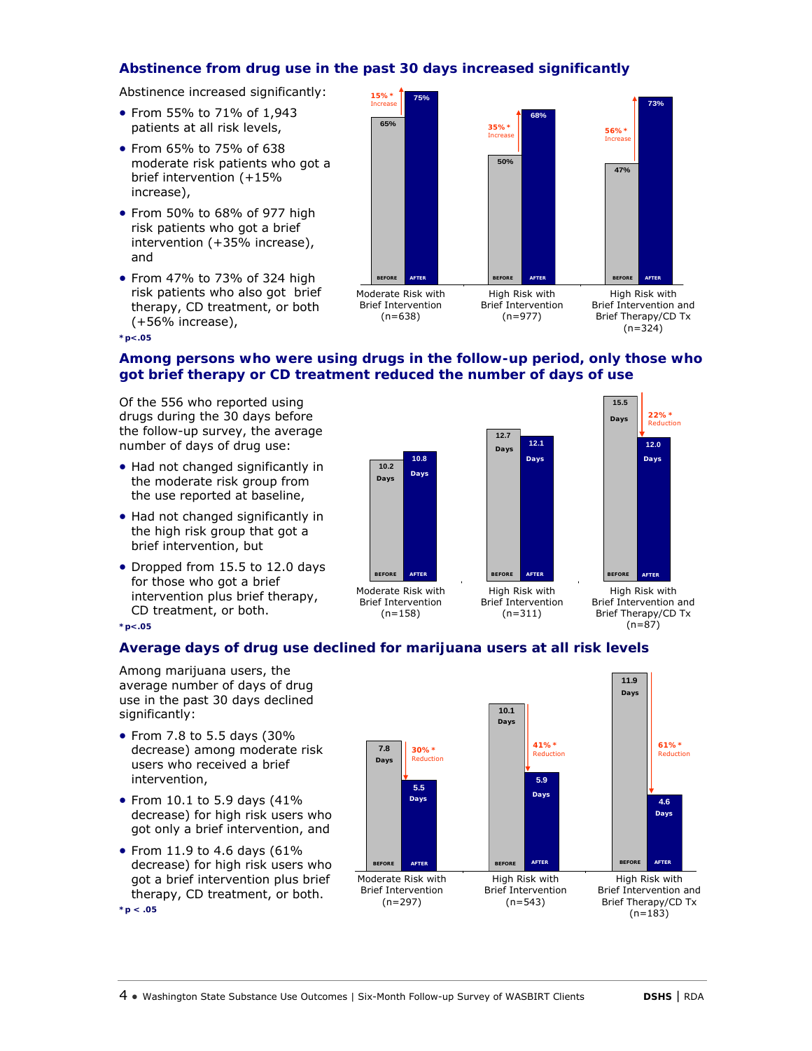## **Abstinence from drug use in the past 30 days increased significantly**

Abstinence increased significantly:

- From 55% to 71% of 1,943 patients at all risk levels,
- From 65% to 75% of 638 moderate risk patients who got a brief intervention (+15% increase),
- From 50% to 68% of 977 high risk patients who got a brief intervention (+35% increase), and
- From 47% to 73% of 324 high risk patients who also got brief therapy, CD treatment, or both (+56% increase),

**\*p<.05**



# **Among persons who were using drugs in the follow-up period, only those who got brief therapy or CD treatment reduced the number of days of use**

Of the 556 who reported using drugs during the 30 days before the follow-up survey, the average number of days of drug use:

- Had not changed significantly in the moderate risk group from the use reported at baseline,
- Had not changed significantly in the high risk group that got a brief intervention, but
- Dropped from 15.5 to 12.0 days for those who got a brief intervention plus brief therapy, CD treatment, or both. **\*p<.05**



(n=311)

Brief Intervention (n=158)

Brief Intervention and Brief Therapy/CD Tx  $(n=87)$ 

# **Average days of drug use declined for marijuana users at all risk levels**

Among marijuana users, the average number of days of drug use in the past 30 days declined significantly:

- From 7.8 to 5.5 days (30% decrease) among moderate risk users who received a brief intervention,
- From 10.1 to 5.9 days (41% decrease) for high risk users who got only a brief intervention, and
- From 11.9 to 4.6 days  $(61\%$ decrease) for high risk users who got a brief intervention plus brief therapy, CD treatment, or both. **\*p < .05**

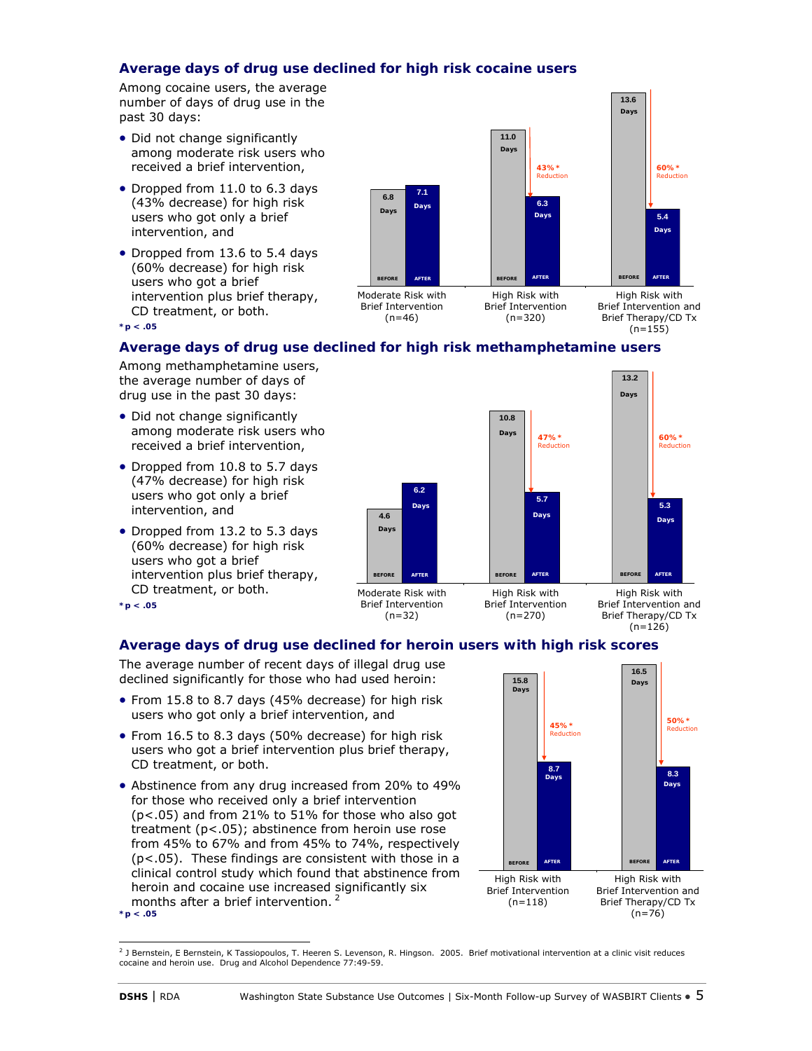## **Average days of drug use declined for high risk cocaine users**

Among cocaine users, the average number of days of drug use in the past 30 days:

- Did not change significantly among moderate risk users who received a brief intervention,
- Dropped from 11.0 to 6.3 days (43% decrease) for high risk users who got only a brief intervention, and
- Dropped from 13.6 to 5.4 days (60% decrease) for high risk users who got a brief intervention plus brief therapy, CD treatment, or both.



**13.6**

**\*p < .05**

## **Average days of drug use declined for high risk methamphetamine users**

Among methamphetamine users, the average number of days of drug use in the past 30 days:

- Did not change significantly among moderate risk users who received a brief intervention,
- Dropped from 10.8 to 5.7 days (47% decrease) for high risk users who got only a brief intervention, and
- Dropped from 13.2 to 5.3 days (60% decrease) for high risk users who got a brief intervention plus brief therapy, CD treatment, or both. **\*p < .05**



Brief Intervention (n=270)

Brief Intervention (n=32)

High Risk with Brief Intervention and Brief Therapy/CD Tx  $(n=126)$ 

# **Average days of drug use declined for heroin users with high risk scores**

The average number of recent days of illegal drug use declined significantly for those who had used heroin:

- From 15.8 to 8.7 days (45% decrease) for high risk users who got only a brief intervention, and
- From 16.5 to 8.3 days (50% decrease) for high risk users who got a brief intervention plus brief therapy, CD treatment, or both.
- Abstinence from any drug increased from 20% to 49% for those who received only a brief intervention (p<.05) and from 21% to 51% for those who also got treatment (p<.05); abstinence from heroin use rose from 45% to 67% and from 45% to 74%, respectively (p<.05). These findings are consistent with those in a clinical control study which found that abstinence from heroin and cocaine use increased significantly six months after a brief intervention. 2 **\*p < .05**



l <sup>2</sup> J Bernstein, E Bernstein, K Tassiopoulos, T. Heeren S. Levenson, R. Hingson. 2005. Brief motivational intervention at a clinic visit reduces cocaine and heroin use. *Drug and Alcohol Dependence* 77:49-59.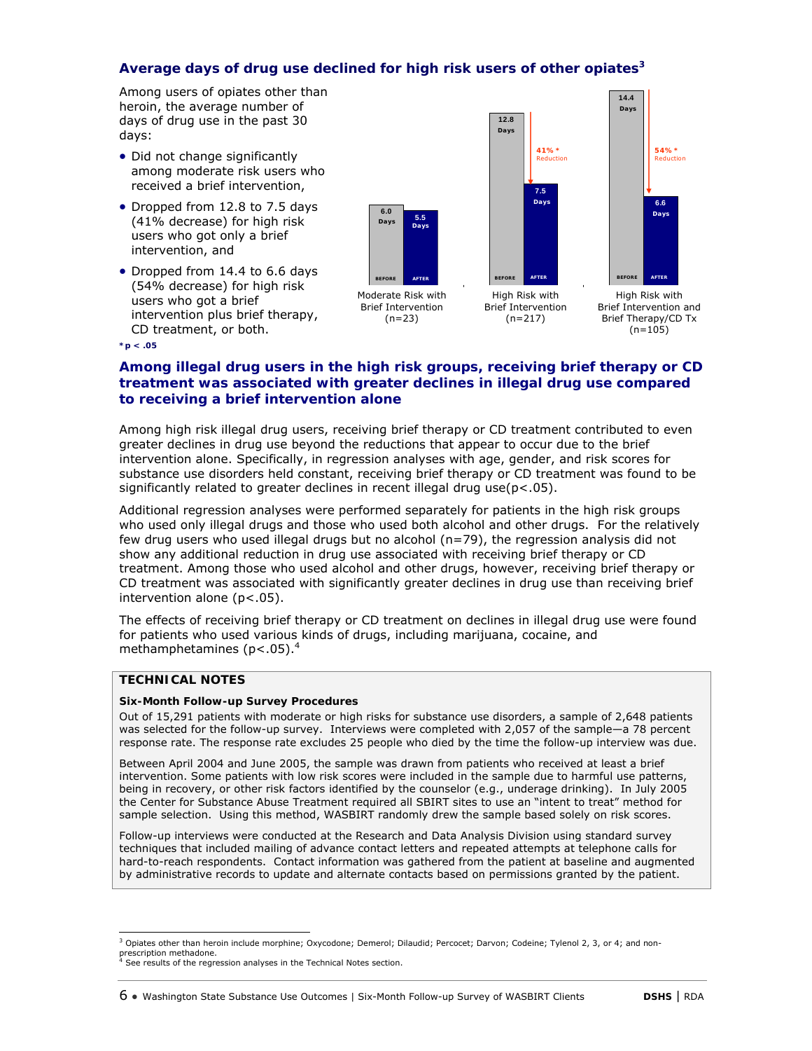### **Average days of drug use declined for high risk users of other opiates3**

Among users of opiates other than heroin, the average number of days of drug use in the past 30 days:

- Did not change significantly among moderate risk users who received a brief intervention,
- Dropped from 12.8 to 7.5 days (41% decrease) for high risk users who got only a brief intervention, and
- Dropped from 14.4 to 6.6 days (54% decrease) for high risk users who got a brief intervention plus brief therapy, CD treatment, or both.



**\*p < .05**

### **Among illegal drug users in the high risk groups, receiving brief therapy or CD treatment was associated with greater declines in illegal drug use compared to receiving a brief intervention alone**

Among high risk illegal drug users, receiving brief therapy or CD treatment contributed to even greater declines in drug use beyond the reductions that appear to occur due to the brief intervention alone. Specifically, in regression analyses with age, gender, and risk scores for substance use disorders held constant, receiving brief therapy or CD treatment was found to be significantly related to greater declines in recent illegal drug use(p<.05).

Additional regression analyses were performed separately for patients in the high risk groups who used only illegal drugs and those who used both alcohol and other drugs. For the relatively few drug users who used illegal drugs but no alcohol (n=79), the regression analysis did not show any additional reduction in drug use associated with receiving brief therapy or CD treatment. Among those who used alcohol and other drugs, however, receiving brief therapy or CD treatment was associated with significantly greater declines in drug use than receiving brief intervention alone (p<.05).

The effects of receiving brief therapy or CD treatment on declines in illegal drug use were found for patients who used various kinds of drugs, including marijuana, cocaine, and methamphetamines (p<.05).4

### **TECHNICAL NOTES**

#### **Six-Month Follow-up Survey Procedures**

Out of 15,291 patients with moderate or high risks for substance use disorders, a sample of 2,648 patients was selected for the follow-up survey. Interviews were completed with 2,057 of the sample—a 78 percent response rate. The response rate excludes 25 people who died by the time the follow-up interview was due.

Between April 2004 and June 2005, the sample was drawn from patients who received at least a brief intervention. Some patients with low risk scores were included in the sample due to harmful use patterns, being in recovery, or other risk factors identified by the counselor (e.g., underage drinking). In July 2005 the Center for Substance Abuse Treatment required all SBIRT sites to use an "intent to treat" method for sample selection. Using this method, WASBIRT randomly drew the sample based solely on risk scores.

Follow-up interviews were conducted at the Research and Data Analysis Division using standard survey techniques that included mailing of advance contact letters and repeated attempts at telephone calls for hard-to-reach respondents. Contact information was gathered from the patient at baseline and augmented by administrative records to update and alternate contacts based on permissions granted by the patient.

 3 Opiates other than heroin include morphine; Oxycodone; Demerol; Dilaudid; Percocet; Darvon; Codeine; Tylenol 2, 3, or 4; and nonprescription methadone.<br><sup>4</sup> See results of the regression analyses in the Technical Notes section.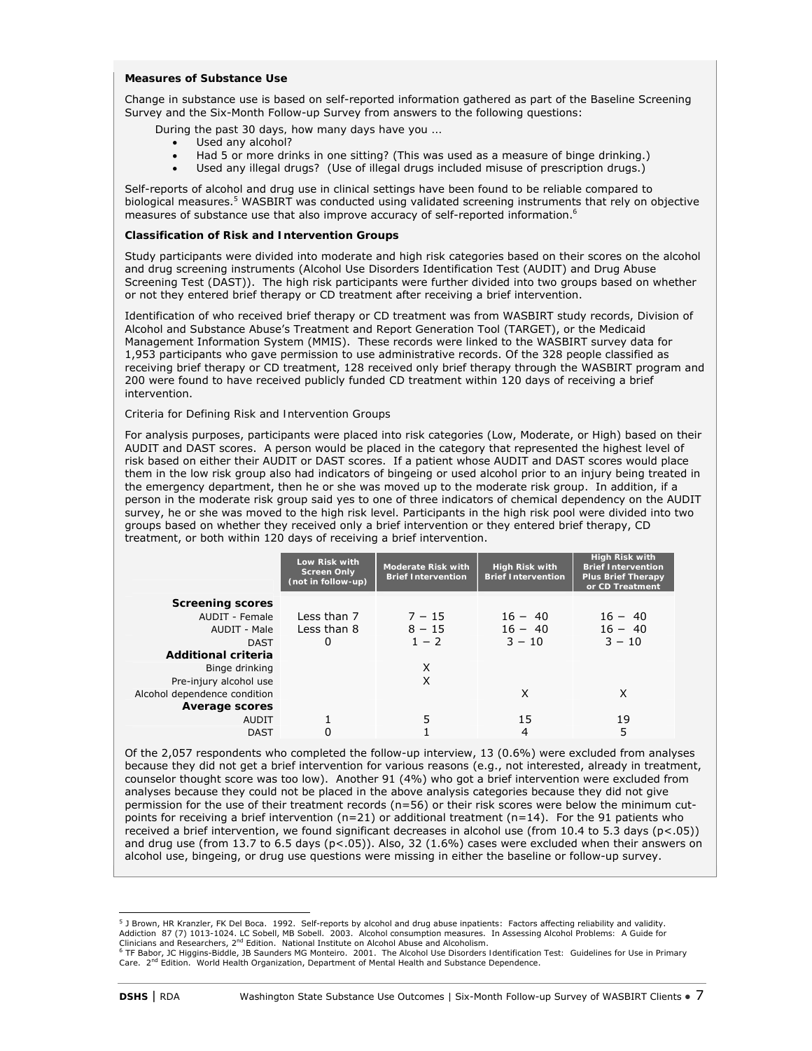#### **Measures of Substance Use**

Change in substance use is based on self-reported information gathered as part of the Baseline Screening Survey and the Six-Month Follow-up Survey from answers to the following questions:

 *During the past 30 days, how many days have you …* 

- *Used any alcohol?*
- *Had 5 or more drinks in one sitting?* (This was used as a measure of binge drinking.)
- *Used any illegal drugs?* (Use of illegal drugs included misuse of prescription drugs.)

Self-reports of alcohol and drug use in clinical settings have been found to be reliable compared to biological measures.<sup>5</sup> WASBIRT was conducted using validated screening instruments that rely on objective measures of substance use that also improve accuracy of self-reported information.<sup>6</sup>

#### **Classification of Risk and Intervention Groups**

Study participants were divided into moderate and high risk categories based on their scores on the alcohol and drug screening instruments (Alcohol Use Disorders Identification Test (AUDIT) and Drug Abuse Screening Test (DAST)). The high risk participants were further divided into two groups based on whether or not they entered brief therapy or CD treatment after receiving a brief intervention.

Identification of who received brief therapy or CD treatment was from WASBIRT study records, Division of Alcohol and Substance Abuse's Treatment and Report Generation Tool (TARGET), or the Medicaid Management Information System (MMIS). These records were linked to the WASBIRT survey data for 1,953 participants who gave permission to use administrative records. Of the 328 people classified as receiving brief therapy or CD treatment, 128 received only brief therapy through the WASBIRT program and 200 were found to have received publicly funded CD treatment within 120 days of receiving a brief intervention.

#### *Criteria for Defining Risk and Intervention Groups*

For analysis purposes, participants were placed into risk categories (Low, Moderate, or High) based on their AUDIT and DAST scores. A person would be placed in the category that represented the highest level of risk based on either their AUDIT or DAST scores. If a patient whose AUDIT and DAST scores would place them in the low risk group also had indicators of bingeing or used alcohol prior to an injury being treated in the emergency department, then he or she was moved up to the moderate risk group. In addition, if a person in the moderate risk group said yes to one of three indicators of chemical dependency on the AUDIT survey, he or she was moved to the high risk level. Participants in the high risk pool were divided into two groups based on whether they received only a brief intervention or they entered brief therapy, CD treatment, or both within 120 days of receiving a brief intervention.

|                              | Low Risk with<br><b>Screen Only</b><br>(not in follow-up) | <b>Moderate Risk with</b><br><b>Brief Intervention</b> | <b>High Risk with</b><br><b>Brief Intervention</b> | <b>High Risk with</b><br><b>Brief Intervention</b><br><b>Plus Brief Therapy</b><br>or CD Treatment |
|------------------------------|-----------------------------------------------------------|--------------------------------------------------------|----------------------------------------------------|----------------------------------------------------------------------------------------------------|
| <b>Screening scores</b>      |                                                           |                                                        |                                                    |                                                                                                    |
| AUDIT - Female               | Less than 7                                               | $7 - 15$                                               | $16 - 40$                                          | $16 - 40$                                                                                          |
| AUDIT - Male                 | Less than 8                                               | $8 - 15$                                               | $16 - 40$                                          | $16 - 40$                                                                                          |
| <b>DAST</b>                  | 0                                                         | $1 - 2$                                                | $3 - 10$                                           | $3 - 10$                                                                                           |
| <b>Additional criteria</b>   |                                                           |                                                        |                                                    |                                                                                                    |
| Binge drinking               |                                                           | X                                                      |                                                    |                                                                                                    |
| Pre-injury alcohol use       |                                                           | X                                                      |                                                    |                                                                                                    |
| Alcohol dependence condition |                                                           |                                                        | X                                                  | X                                                                                                  |
| <b>Average scores</b>        |                                                           |                                                        |                                                    |                                                                                                    |
| <b>AUDIT</b>                 |                                                           | 5                                                      | 15                                                 | 19                                                                                                 |
| <b>DAST</b>                  |                                                           |                                                        | 4                                                  | 5                                                                                                  |

Of the 2,057 respondents who completed the follow-up interview, 13 (0.6%) were excluded from analyses because they did not get a brief intervention for various reasons (e.g., not interested, already in treatment, counselor thought score was too low). Another 91 (4%) who got a brief intervention were excluded from analyses because they could not be placed in the above analysis categories because they did not give permission for the use of their treatment records (n=56) or their risk scores were below the minimum cutpoints for receiving a brief intervention ( $n=21$ ) or additional treatment ( $n=14$ ). For the 91 patients who received a brief intervention, we found significant decreases in alcohol use (from 10.4 to 5.3 days (p<.05)) and drug use (from 13.7 to 6.5 days ( $p<0.05$ )). Also, 32 (1.6%) cases were excluded when their answers on alcohol use, bingeing, or drug use questions were missing in either the baseline or follow-up survey.

 5 J Brown, HR Kranzler, FK Del Boca. 1992. Self-reports by alcohol and drug abuse inpatients: Factors affecting reliability and validity. Addiction 87 (7) 1013-1024. LC Sobell, MB Sobell. 2003. Alcohol consumption measures. In Ass*essing Alcohol Problems: A Guide for*<br>Clinicians and Researchers, 2<sup>nd</sup> Edition. National Institute on Alcohol Abuse and Alcoh

*Care*. 2nd Edition. World Health Organization, Department of Mental Health and Substance Dependence.